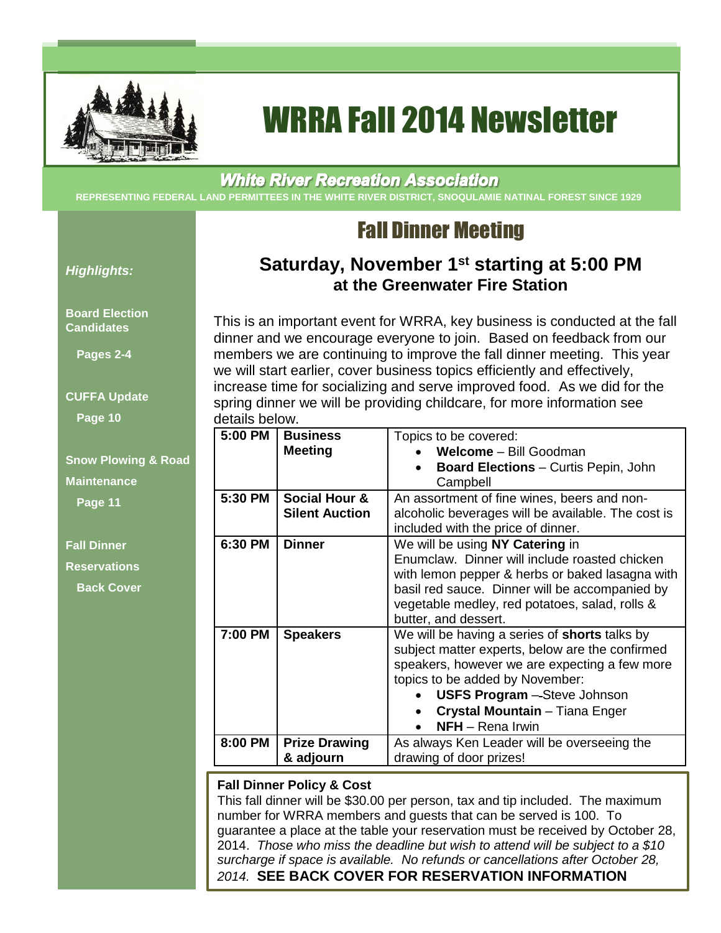

# WRRA Fall 2014 Newsletter

## **White River Recreation Association**

**REPRESENTING FEDERAL LAND PERMITTEES IN THE WHITE RIVER DISTRICT, SNOQULAMIE NATINAL FOREST SINCE 1929**

## Fall Dinner Meeting

**Saturday, November 1st starting at 5:00 PM at the Greenwater Fire Station**

### *Highlights:*

### **Board Election Candidates**

**Pages 2-4** 

**CUFFA Update**

**Page 10**

## **Snow Plowing & Road Maintenance Page 11**

**Fall Dinner Reservations**

**Back Cover**

This is an important event for WRRA, key business is conducted at the fall dinner and we encourage everyone to join. Based on feedback from our members we are continuing to improve the fall dinner meeting. This year we will start earlier, cover business topics efficiently and effectively, increase time for socializing and serve improved food. As we did for the spring dinner we will be providing childcare, for more information see details below.

| 5:00 PM | <b>Business</b><br><b>Meeting</b>                 | Topics to be covered:<br>Welcome - Bill Goodman<br><b>Board Elections - Curtis Pepin, John</b><br>Campbell                                                                                                                                                                               |
|---------|---------------------------------------------------|------------------------------------------------------------------------------------------------------------------------------------------------------------------------------------------------------------------------------------------------------------------------------------------|
| 5:30 PM | <b>Social Hour &amp;</b><br><b>Silent Auction</b> | An assortment of fine wines, beers and non-<br>alcoholic beverages will be available. The cost is<br>included with the price of dinner.                                                                                                                                                  |
| 6:30 PM | <b>Dinner</b>                                     | We will be using NY Catering in<br>Enumclaw. Dinner will include roasted chicken<br>with lemon pepper & herbs or baked lasagna with<br>basil red sauce. Dinner will be accompanied by<br>vegetable medley, red potatoes, salad, rolls &<br>butter, and dessert.                          |
| 7:00 PM | <b>Speakers</b>                                   | We will be having a series of <b>shorts</b> talks by<br>subject matter experts, below are the confirmed<br>speakers, however we are expecting a few more<br>topics to be added by November:<br><b>USFS Program</b> - Steve Johnson<br>Crystal Mountain - Tiana Enger<br>NFH - Rena Irwin |
| 8:00 PM | <b>Prize Drawing</b><br>& adjourn                 | As always Ken Leader will be overseeing the<br>drawing of door prizes!                                                                                                                                                                                                                   |

### **Fall Dinner Policy & Cost**

This fall dinner will be \$30.00 per person, tax and tip included. The maximum number for WRRA members and guests that can be served is 100. To guarantee a place at the table your reservation must be received by October 28, 2014. *Those who miss the deadline but wish to attend will be subject to a \$10 surcharge if space is available. No refunds or cancellations after October 28, 2014.* **SEE BACK COVER FOR RESERVATION INFORMATION**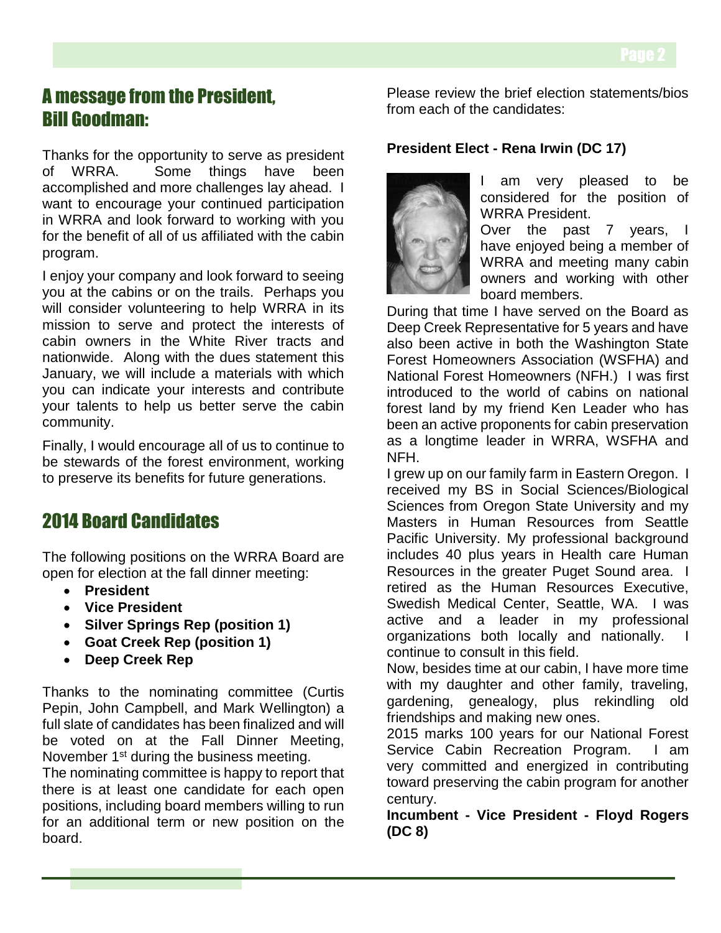## A message from the President, Bill Goodman:

Thanks for the opportunity to serve as president of WRRA. Some things have been accomplished and more challenges lay ahead. I want to encourage your continued participation in WRRA and look forward to working with you for the benefit of all of us affiliated with the cabin program.

I enjoy your company and look forward to seeing you at the cabins or on the trails. Perhaps you will consider volunteering to help WRRA in its mission to serve and protect the interests of cabin owners in the White River tracts and nationwide. Along with the dues statement this January, we will include a materials with which you can indicate your interests and contribute your talents to help us better serve the cabin community.

Finally, I would encourage all of us to continue to be stewards of the forest environment, working to preserve its benefits for future generations.

## 2014 Board Candidates

The following positions on the WRRA Board are open for election at the fall dinner meeting:

- **President**
- **Vice President**
- **Silver Springs Rep (position 1)**
- **Goat Creek Rep (position 1)**
- **Deep Creek Rep**

Thanks to the nominating committee (Curtis Pepin, John Campbell, and Mark Wellington) a full slate of candidates has been finalized and will be voted on at the Fall Dinner Meeting, November 1<sup>st</sup> during the business meeting.

The nominating committee is happy to report that there is at least one candidate for each open positions, including board members willing to run for an additional term or new position on the board.

Please review the brief election statements/bios from each of the candidates:

### **President Elect - Rena Irwin (DC 17)**



I am very pleased to be considered for the position of WRRA President.

Over the past 7 years, I have enjoyed being a member of WRRA and meeting many cabin owners and working with other board members.

During that time I have served on the Board as Deep Creek Representative for 5 years and have also been active in both the Washington State Forest Homeowners Association (WSFHA) and National Forest Homeowners (NFH.) I was first introduced to the world of cabins on national forest land by my friend Ken Leader who has been an active proponents for cabin preservation as a longtime leader in WRRA, WSFHA and NFH.

I grew up on our family farm in Eastern Oregon. I received my BS in Social Sciences/Biological Sciences from Oregon State University and my Masters in Human Resources from Seattle Pacific University. My professional background includes 40 plus years in Health care Human Resources in the greater Puget Sound area. I retired as the Human Resources Executive, Swedish Medical Center, Seattle, WA. I was active and a leader in my professional organizations both locally and nationally. continue to consult in this field.

Now, besides time at our cabin, I have more time with my daughter and other family, traveling, gardening, genealogy, plus rekindling old friendships and making new ones.

2015 marks 100 years for our National Forest Service Cabin Recreation Program. I am very committed and energized in contributing toward preserving the cabin program for another century.

**Incumbent - Vice President - Floyd Rogers (DC 8)**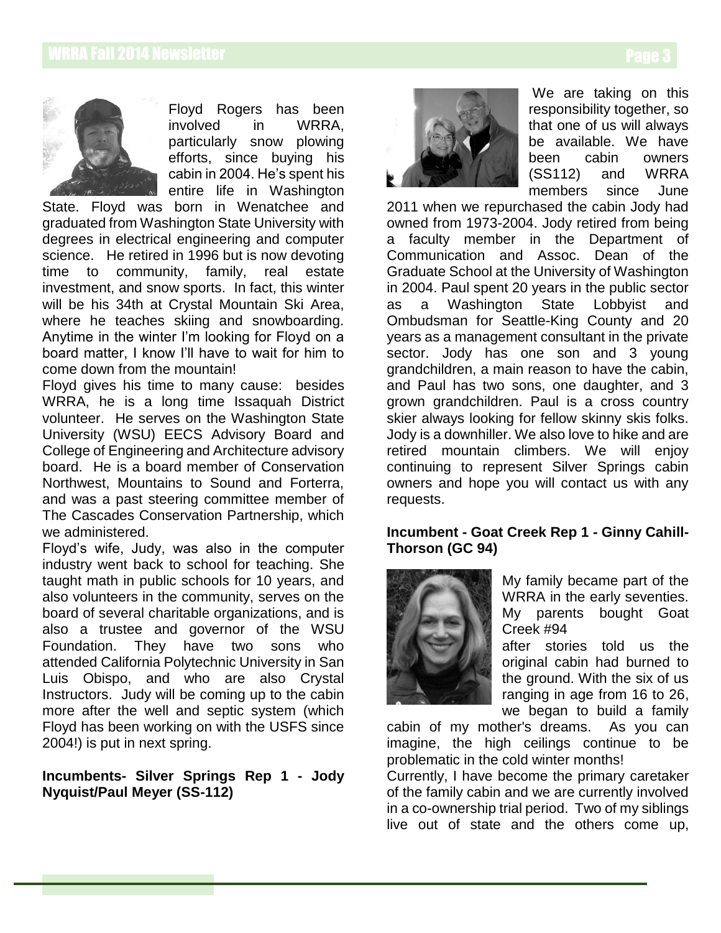

Floyd Rogers has been involved in WRRA, particularly snow plowing efforts, since buying his cabin in 2004. He's spent his entire life in Washington

State. Floyd was born in Wenatchee and graduated from Washington State University with degrees in electrical engineering and computer science. He retired in 1996 but is now devoting time to community, family, real estate investment, and snow sports. In fact, this winter will be his 34th at Crystal Mountain Ski Area, where he teaches skiing and snowboarding. Anytime in the winter I'm looking for Floyd on a board matter, I know I'll have to wait for him to come down from the mountain!

Floyd gives his time to many cause: besides WRRA, he is a long time Issaquah District volunteer. He serves on the Washington State University (WSU) EECS Advisory Board and College of Engineering and Architecture advisory board. He is a board member of Conservation Northwest, Mountains to Sound and Forterra, and was a past steering committee member of The Cascades Conservation Partnership, which we administered.

Floyd's wife, Judy, was also in the computer industry went back to school for teaching. She taught math in public schools for 10 years, and also volunteers in the community, serves on the board of several charitable organizations, and is also a trustee and governor of the WSU Foundation. They have two sons who attended California Polytechnic University in San Luis Obispo, and who are also Crystal Instructors. Judy will be coming up to the cabin more after the well and septic system (which Floyd has been working on with the USFS since 2004!) is put in next spring.

**Incumbents- Silver Springs Rep 1 - Jody Nyquist/Paul Meyer (SS-112)**



We are taking on this responsibility together, so that one of us will always be available. We have been cabin owners (SS112) and WRRA members since June

2011 when we repurchased the cabin Jody had owned from 1973-2004. Jody retired from being a faculty member in the Department of Communication and Assoc. Dean of the Graduate School at the University of Washington in 2004. Paul spent 20 years in the public sector as a Washington State Lobbyist and Ombudsman for Seattle-King County and 20 years as a management consultant in the private sector. Jody has one son and 3 young grandchildren, a main reason to have the cabin, and Paul has two sons, one daughter, and 3 grown grandchildren. Paul is a cross country skier always looking for fellow skinny skis folks. Jody is a downhiller. We also love to hike and are retired mountain climbers. We will enjoy continuing to represent Silver Springs cabin owners and hope you will contact us with any requests.

### **Incumbent - Goat Creek Rep 1 - Ginny Cahill-Thorson (GC 94)**



My family became part of the WRRA in the early seventies. My parents bought Goat Creek #94

after stories told us the original cabin had burned to the ground. With the six of us ranging in age from 16 to 26, we began to build a family

cabin of my mother's dreams. As you can imagine, the high ceilings continue to be problematic in the cold winter months!

Currently, I have become the primary caretaker of the family cabin and we are currently involved in a co-ownership trial period. Two of my siblings live out of state and the others come up,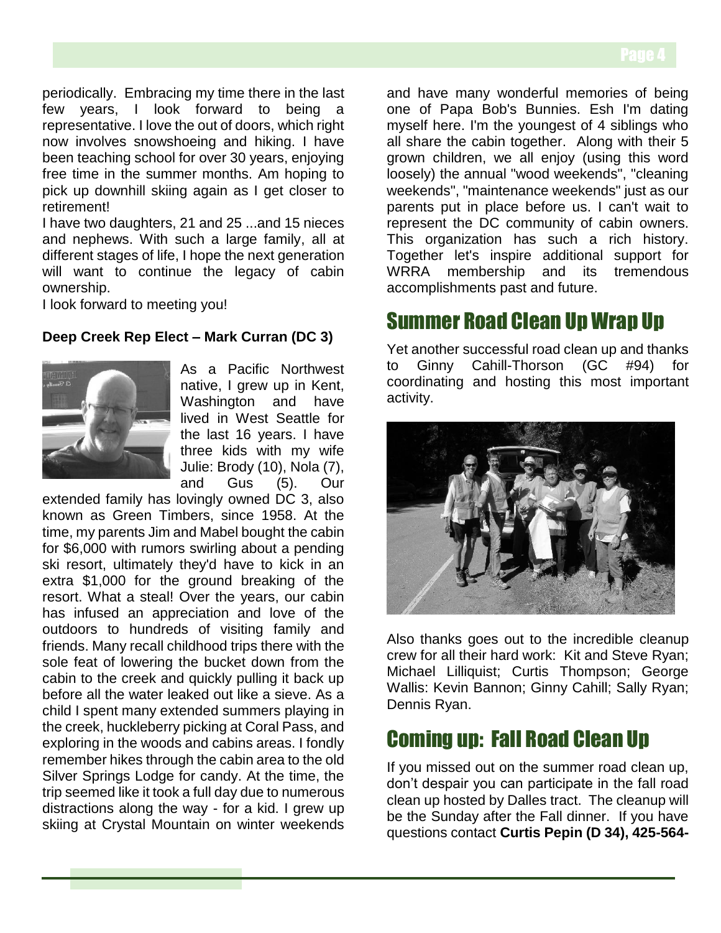periodically. Embracing my time there in the last few years, I look forward to being a representative. I love the out of doors, which right now involves snowshoeing and hiking. I have been teaching school for over 30 years, enjoying free time in the summer months. Am hoping to pick up downhill skiing again as I get closer to retirement!

I have two daughters, 21 and 25 ...and 15 nieces and nephews. With such a large family, all at different stages of life, I hope the next generation will want to continue the legacy of cabin ownership.

I look forward to meeting you!

### **Deep Creek Rep Elect – Mark Curran (DC 3)**



As a Pacific Northwest native, I grew up in Kent, Washington and have lived in West Seattle for the last 16 years. I have three kids with my wife Julie: Brody (10), Nola (7), and Gus (5). Our

extended family has lovingly owned DC 3, also known as Green Timbers, since 1958. At the time, my parents Jim and Mabel bought the cabin for \$6,000 with rumors swirling about a pending ski resort, ultimately they'd have to kick in an extra \$1,000 for the ground breaking of the resort. What a steal! Over the years, our cabin has infused an appreciation and love of the outdoors to hundreds of visiting family and friends. Many recall childhood trips there with the sole feat of lowering the bucket down from the cabin to the creek and quickly pulling it back up before all the water leaked out like a sieve. As a child I spent many extended summers playing in the creek, huckleberry picking at Coral Pass, and exploring in the woods and cabins areas. I fondly remember hikes through the cabin area to the old Silver Springs Lodge for candy. At the time, the trip seemed like it took a full day due to numerous distractions along the way - for a kid. I grew up skiing at Crystal Mountain on winter weekends

and have many wonderful memories of being one of Papa Bob's Bunnies. Esh I'm dating myself here. I'm the youngest of 4 siblings who all share the cabin together. Along with their 5 grown children, we all enjoy (using this word loosely) the annual "wood weekends", "cleaning weekends", "maintenance weekends" just as our parents put in place before us. I can't wait to represent the DC community of cabin owners. This organization has such a rich history. Together let's inspire additional support for WRRA membership and its tremendous accomplishments past and future.

## Summer Road Clean Up Wrap Up

Yet another successful road clean up and thanks to Ginny Cahill-Thorson  $(GC \#94)$ coordinating and hosting this most important activity.



Also thanks goes out to the incredible cleanup crew for all their hard work: Kit and Steve Ryan; Michael Lilliquist; Curtis Thompson; George Wallis: Kevin Bannon; Ginny Cahill; Sally Ryan; Dennis Ryan.

## Coming up: Fall Road Clean Up

If you missed out on the summer road clean up, don't despair you can participate in the fall road clean up hosted by Dalles tract. The cleanup will be the Sunday after the Fall dinner. If you have questions contact **Curtis Pepin (D 34), 425-564-**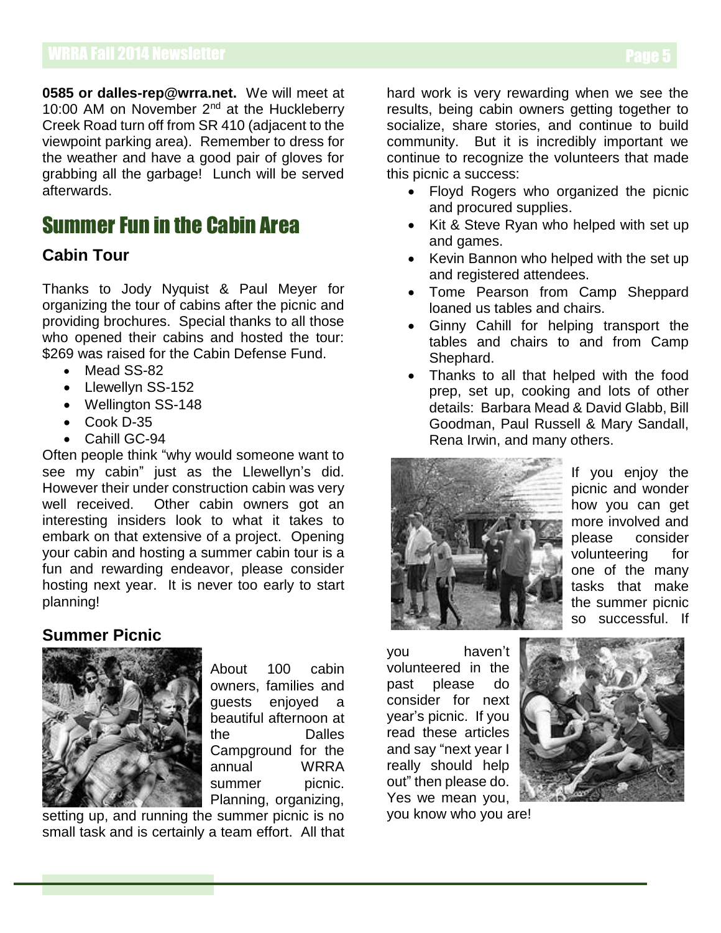**0585 or dalles-rep@wrra.net.** We will meet at 10:00 AM on November 2<sup>nd</sup> at the Huckleberry Creek Road turn off from SR 410 (adjacent to the viewpoint parking area). Remember to dress for the weather and have a good pair of gloves for grabbing all the garbage! Lunch will be served afterwards.

## Summer Fun in the Cabin Area

## **Cabin Tour**

Thanks to Jody Nyquist & Paul Meyer for organizing the tour of cabins after the picnic and providing brochures. Special thanks to all those who opened their cabins and hosted the tour: \$269 was raised for the Cabin Defense Fund.

- Mead SS-82
- Llewellyn SS-152
- Wellington SS-148
- Cook D-35
- Cahill GC-94

Often people think "why would someone want to see my cabin" just as the Llewellyn's did. However their under construction cabin was very well received. Other cabin owners got an interesting insiders look to what it takes to embark on that extensive of a project. Opening your cabin and hosting a summer cabin tour is a fun and rewarding endeavor, please consider hosting next year. It is never too early to start planning!

## **Summer Picnic**



About 100 cabin owners, families and guests enjoyed a beautiful afternoon at the Dalles Campground for the annual WRRA summer picnic. Planning, organizing,

setting up, and running the summer picnic is no small task and is certainly a team effort. All that

hard work is very rewarding when we see the results, being cabin owners getting together to socialize, share stories, and continue to build community. But it is incredibly important we continue to recognize the volunteers that made this picnic a success:

- Floyd Rogers who organized the picnic and procured supplies.
- Kit & Steve Ryan who helped with set up and games.
- Kevin Bannon who helped with the set up and registered attendees.
- Tome Pearson from Camp Sheppard loaned us tables and chairs.
- Ginny Cahill for helping transport the tables and chairs to and from Camp Shephard.
- Thanks to all that helped with the food prep, set up, cooking and lots of other details: Barbara Mead & David Glabb, Bill Goodman, Paul Russell & Mary Sandall, Rena Irwin, and many others.



If you enjoy the picnic and wonder how you can get more involved and please consider volunteering for one of the many tasks that make the summer picnic so successful. If

you haven't volunteered in the past please do consider for next year's picnic. If you read these articles and say "next year I really should help out" then please do. Yes we mean you,

you know who you are!

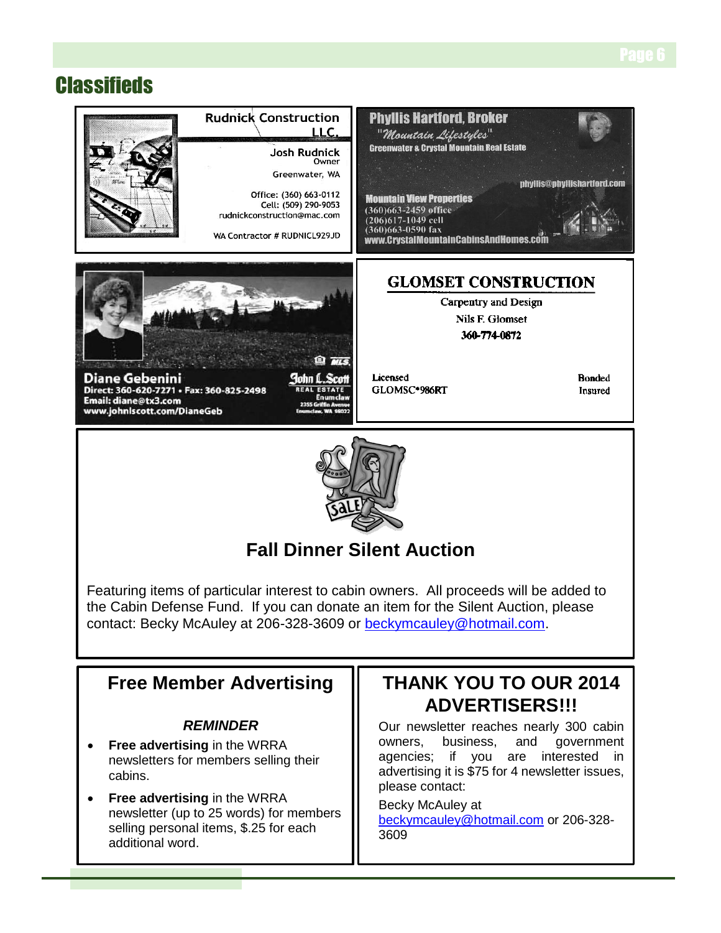## **Classifieds**



 **Free advertising** in the WRRA newsletter (up to 25 words) for members selling personal items, \$.25 for each additional word.

## please contact: Becky McAuley at

[beckymcauley@hotmail.com](mailto:beckymcauley@hotmail.com) or 206-328- 3609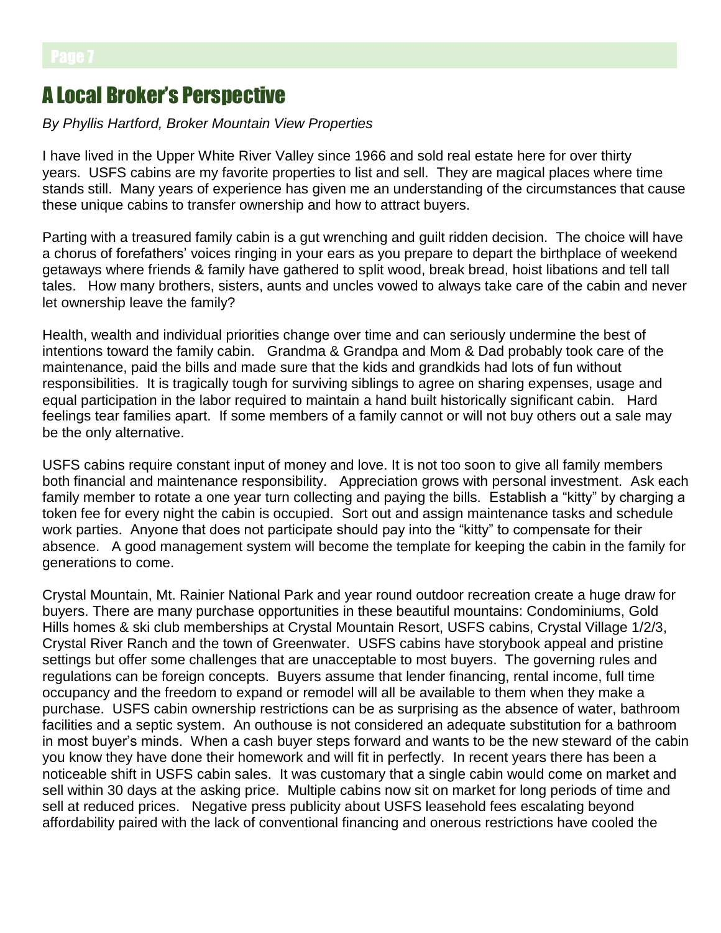## A Local Broker's Perspective

### *By Phyllis Hartford, Broker Mountain View Properties*

I have lived in the Upper White River Valley since 1966 and sold real estate here for over thirty years. USFS cabins are my favorite properties to list and sell. They are magical places where time stands still. Many years of experience has given me an understanding of the circumstances that cause these unique cabins to transfer ownership and how to attract buyers.

Parting with a treasured family cabin is a gut wrenching and guilt ridden decision. The choice will have a chorus of forefathers' voices ringing in your ears as you prepare to depart the birthplace of weekend getaways where friends & family have gathered to split wood, break bread, hoist libations and tell tall tales. How many brothers, sisters, aunts and uncles vowed to always take care of the cabin and never let ownership leave the family?

Health, wealth and individual priorities change over time and can seriously undermine the best of intentions toward the family cabin. Grandma & Grandpa and Mom & Dad probably took care of the maintenance, paid the bills and made sure that the kids and grandkids had lots of fun without responsibilities. It is tragically tough for surviving siblings to agree on sharing expenses, usage and equal participation in the labor required to maintain a hand built historically significant cabin. Hard feelings tear families apart. If some members of a family cannot or will not buy others out a sale may be the only alternative.

USFS cabins require constant input of money and love. It is not too soon to give all family members both financial and maintenance responsibility. Appreciation grows with personal investment. Ask each family member to rotate a one year turn collecting and paying the bills. Establish a "kitty" by charging a token fee for every night the cabin is occupied. Sort out and assign maintenance tasks and schedule work parties. Anyone that does not participate should pay into the "kitty" to compensate for their absence. A good management system will become the template for keeping the cabin in the family for generations to come.

Crystal Mountain, Mt. Rainier National Park and year round outdoor recreation create a huge draw for buyers. There are many purchase opportunities in these beautiful mountains: Condominiums, Gold Hills homes & ski club memberships at Crystal Mountain Resort, USFS cabins, Crystal Village 1/2/3, Crystal River Ranch and the town of Greenwater. USFS cabins have storybook appeal and pristine settings but offer some challenges that are unacceptable to most buyers. The governing rules and regulations can be foreign concepts. Buyers assume that lender financing, rental income, full time occupancy and the freedom to expand or remodel will all be available to them when they make a purchase. USFS cabin ownership restrictions can be as surprising as the absence of water, bathroom facilities and a septic system. An outhouse is not considered an adequate substitution for a bathroom in most buyer's minds. When a cash buyer steps forward and wants to be the new steward of the cabin you know they have done their homework and will fit in perfectly. In recent years there has been a noticeable shift in USFS cabin sales. It was customary that a single cabin would come on market and sell within 30 days at the asking price. Multiple cabins now sit on market for long periods of time and sell at reduced prices. Negative press publicity about USFS leasehold fees escalating beyond affordability paired with the lack of conventional financing and onerous restrictions have cooled the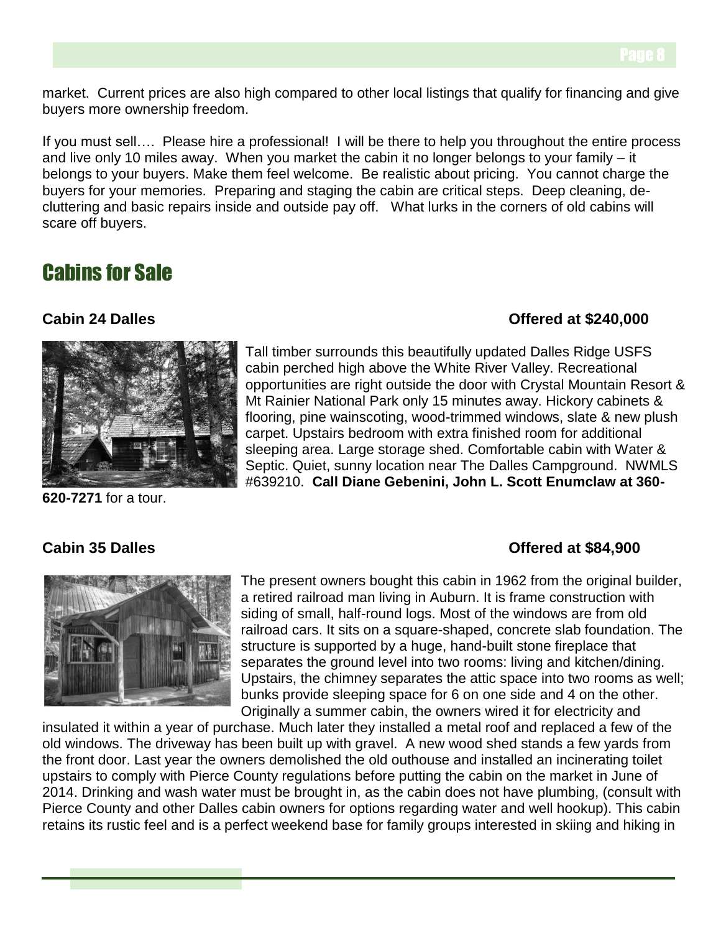market. Current prices are also high compared to other local listings that qualify for financing and give buyers more ownership freedom.

If you must sell…. Please hire a professional! I will be there to help you throughout the entire process and live only 10 miles away. When you market the cabin it no longer belongs to your family – it belongs to your buyers. Make them feel welcome. Be realistic about pricing. You cannot charge the buyers for your memories. Preparing and staging the cabin are critical steps. Deep cleaning, decluttering and basic repairs inside and outside pay off. What lurks in the corners of old cabins will scare off buyers.

## Cabins for Sale

## **Cabin 24 Dalles Offered at \$240,000**



Tall timber surrounds this beautifully updated Dalles Ridge USFS cabin perched high above the White River Valley. Recreational opportunities are right outside the door with Crystal Mountain Resort & Mt Rainier National Park only 15 minutes away. Hickory cabinets & flooring, pine wainscoting, wood-trimmed windows, slate & new plush carpet. Upstairs bedroom with extra finished room for additional sleeping area. Large storage shed. Comfortable cabin with Water & Septic. Quiet, sunny location near The Dalles Campground. NWMLS #639210. **Call Diane Gebenini, John L. Scott Enumclaw at 360-**

**620-7271** for a tour.

## **Cabin 35 Dalles Cabin 35 Dalles Cabin 35 Dalles Offered at \$84,900**



The present owners bought this cabin in 1962 from the original builder, a retired railroad man living in Auburn. It is frame construction with siding of small, half-round logs. Most of the windows are from old railroad cars. It sits on a square-shaped, concrete slab foundation. The structure is supported by a huge, hand-built stone fireplace that separates the ground level into two rooms: living and kitchen/dining. Upstairs, the chimney separates the attic space into two rooms as well; bunks provide sleeping space for 6 on one side and 4 on the other. Originally a summer cabin, the owners wired it for electricity and

insulated it within a year of purchase. Much later they installed a metal roof and replaced a few of the old windows. The driveway has been built up with gravel. A new wood shed stands a few yards from the front door. Last year the owners demolished the old outhouse and installed an incinerating toilet upstairs to comply with Pierce County regulations before putting the cabin on the market in June of 2014. Drinking and wash water must be brought in, as the cabin does not have plumbing, (consult with Pierce County and other Dalles cabin owners for options regarding water and well hookup). This cabin retains its rustic feel and is a perfect weekend base for family groups interested in skiing and hiking in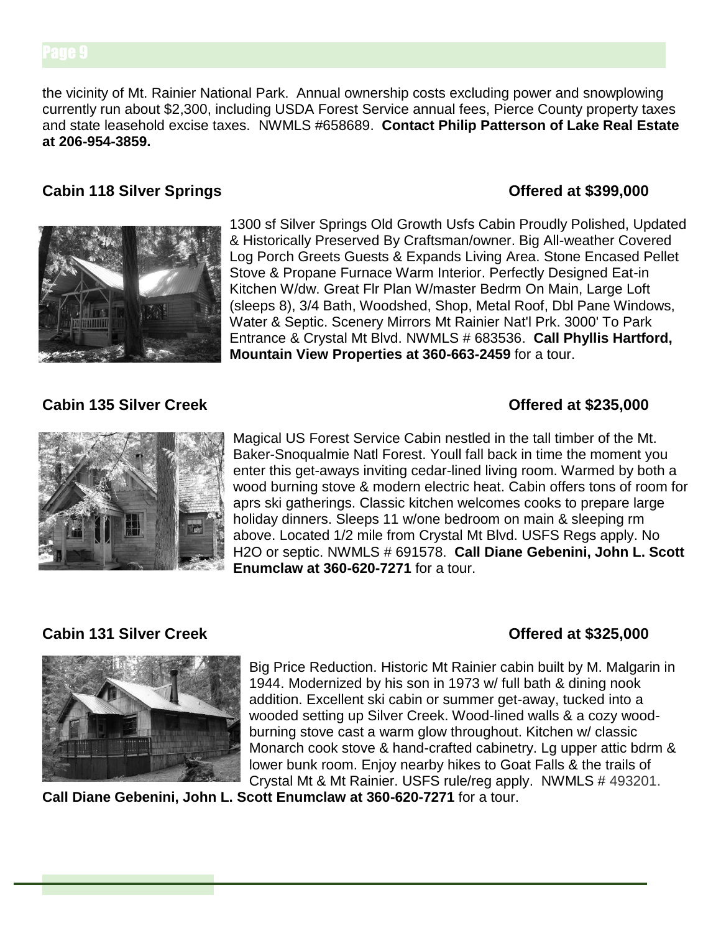the vicinity of Mt. Rainier National Park. Annual ownership costs excluding power and snowplowing currently run about \$2,300, including USDA Forest Service annual fees, Pierce County property taxes and state leasehold excise taxes. NWMLS #658689. **Contact Philip Patterson of Lake Real Estate at 206-954-3859.**

### **Cabin 118 Silver Springs Cabin 118 Silver Springs Cabin 118 Silver Springs**



1300 sf Silver Springs Old Growth Usfs Cabin Proudly Polished, Updated & Historically Preserved By Craftsman/owner. Big All-weather Covered Log Porch Greets Guests & Expands Living Area. Stone Encased Pellet Stove & Propane Furnace Warm Interior. Perfectly Designed Eat-in Kitchen W/dw. Great Flr Plan W/master Bedrm On Main, Large Loft (sleeps 8), 3/4 Bath, Woodshed, Shop, Metal Roof, Dbl Pane Windows, Water & Septic. Scenery Mirrors Mt Rainier Nat'l Prk. 3000' To Park Entrance & Crystal Mt Blvd. NWMLS # 683536. **Call Phyllis Hartford, Mountain View Properties at 360-663-2459** for a tour.

## **Cabin 135 Silver Creek CREEK CREEK Offered at \$235,000**



Magical US Forest Service Cabin nestled in the tall timber of the Mt. Baker-Snoqualmie Natl Forest. Youll fall back in time the moment you enter this get-aways inviting cedar-lined living room. Warmed by both a wood burning stove & modern electric heat. Cabin offers tons of room for aprs ski gatherings. Classic kitchen welcomes cooks to prepare large holiday dinners. Sleeps 11 w/one bedroom on main & sleeping rm above. Located 1/2 mile from Crystal Mt Blvd. USFS Regs apply. No H2O or septic. NWMLS # 691578. **Call Diane Gebenini, John L. Scott Enumclaw at 360-620-7271** for a tour.

## **Cabin 131 Silver Creek CREEK CREEK Offered at \$325,000**





Big Price Reduction. Historic Mt Rainier cabin built by M. Malgarin in 1944. Modernized by his son in 1973 w/ full bath & dining nook addition. Excellent ski cabin or summer get-away, tucked into a wooded setting up Silver Creek. Wood-lined walls & a cozy woodburning stove cast a warm glow throughout. Kitchen w/ classic Monarch cook stove & hand-crafted cabinetry. Lg upper attic bdrm & lower bunk room. Enjoy nearby hikes to Goat Falls & the trails of Crystal Mt & Mt Rainier. USFS rule/reg apply. NWMLS # 493201.

**Call Diane Gebenini, John L. Scott Enumclaw at 360-620-7271** for a tour.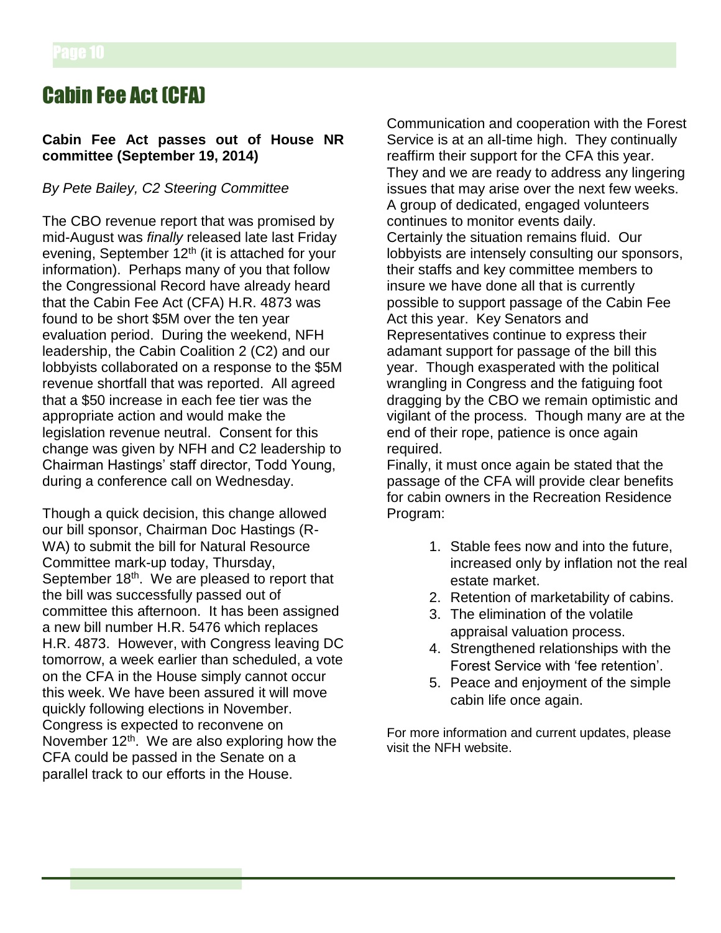## Cabin Fee Act (CFA)

### **Cabin Fee Act passes out of House NR committee (September 19, 2014)**

### *By Pete Bailey, C2 Steering Committee*

The CBO revenue report that was promised by mid-August was *finally* released late last Friday evening, September 12<sup>th</sup> (it is attached for your information). Perhaps many of you that follow the Congressional Record have already heard that the Cabin Fee Act (CFA) H.R. 4873 was found to be short \$5M over the ten year evaluation period. During the weekend, NFH leadership, the Cabin Coalition 2 (C2) and our lobbyists collaborated on a response to the \$5M revenue shortfall that was reported. All agreed that a \$50 increase in each fee tier was the appropriate action and would make the legislation revenue neutral. Consent for this change was given by NFH and C2 leadership to Chairman Hastings' staff director, Todd Young, during a conference call on Wednesday.

Though a quick decision, this change allowed our bill sponsor, Chairman Doc Hastings (R-WA) to submit the bill for Natural Resource Committee mark-up today, Thursday, September 18<sup>th</sup>. We are pleased to report that the bill was successfully passed out of committee this afternoon. It has been assigned a new bill number H.R. 5476 which replaces H.R. 4873. However, with Congress leaving DC tomorrow, a week earlier than scheduled, a vote on the CFA in the House simply cannot occur this week. We have been assured it will move quickly following elections in November. Congress is expected to reconvene on November  $12<sup>th</sup>$ . We are also exploring how the CFA could be passed in the Senate on a parallel track to our efforts in the House.

Communication and cooperation with the Forest Service is at an all-time high. They continually reaffirm their support for the CFA this year. They and we are ready to address any lingering issues that may arise over the next few weeks. A group of dedicated, engaged volunteers continues to monitor events daily. Certainly the situation remains fluid. Our lobbyists are intensely consulting our sponsors, their staffs and key committee members to insure we have done all that is currently possible to support passage of the Cabin Fee Act this year. Key Senators and Representatives continue to express their adamant support for passage of the bill this year. Though exasperated with the political wrangling in Congress and the fatiguing foot dragging by the CBO we remain optimistic and vigilant of the process. Though many are at the end of their rope, patience is once again required.

Finally, it must once again be stated that the passage of the CFA will provide clear benefits for cabin owners in the Recreation Residence Program:

- 1. Stable fees now and into the future, increased only by inflation not the real estate market.
- 2. Retention of marketability of cabins.
- 3. The elimination of the volatile appraisal valuation process.
- 4. Strengthened relationships with the Forest Service with 'fee retention'.
- 5. Peace and enjoyment of the simple cabin life once again.

For more information and current updates, please visit the NFH website.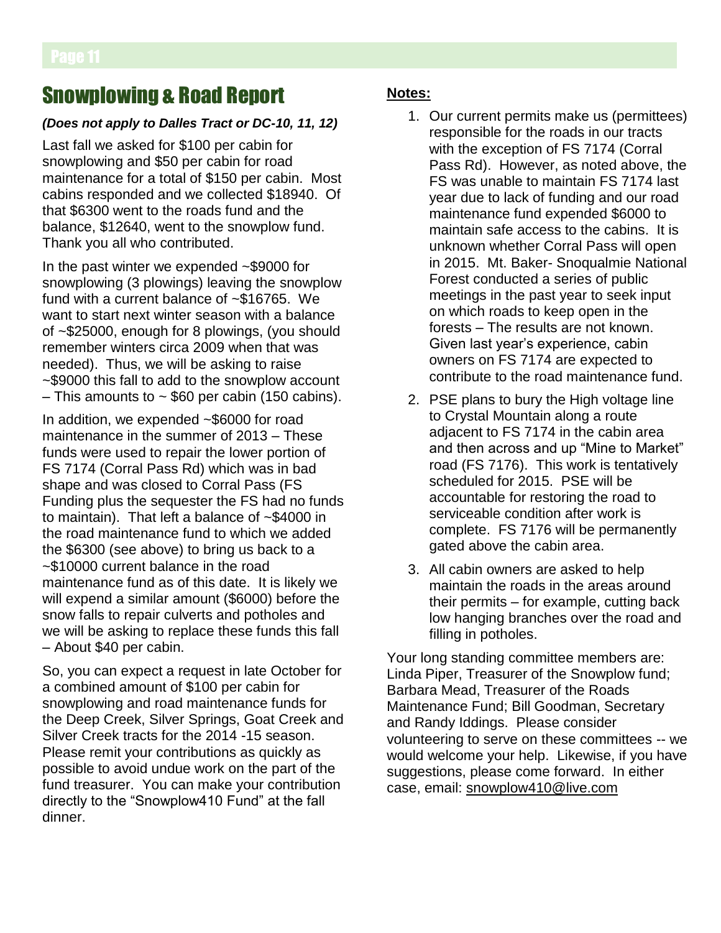## Snowplowing & Road Report

## *(Does not apply to Dalles Tract or DC-10, 11, 12)*

Last fall we asked for \$100 per cabin for snowplowing and \$50 per cabin for road maintenance for a total of \$150 per cabin. Most cabins responded and we collected \$18940. Of that \$6300 went to the roads fund and the balance, \$12640, went to the snowplow fund. Thank you all who contributed.

In the past winter we expended ~\$9000 for snowplowing (3 plowings) leaving the snowplow fund with a current balance of ~\$16765. We want to start next winter season with a balance of ~\$25000, enough for 8 plowings, (you should remember winters circa 2009 when that was needed). Thus, we will be asking to raise ~\$9000 this fall to add to the snowplow account  $-$  This amounts to  $\sim$  \$60 per cabin (150 cabins).

In addition, we expended ~\$6000 for road maintenance in the summer of 2013 – These funds were used to repair the lower portion of FS 7174 (Corral Pass Rd) which was in bad shape and was closed to Corral Pass (FS Funding plus the sequester the FS had no funds to maintain). That left a balance of ~\$4000 in the road maintenance fund to which we added the \$6300 (see above) to bring us back to a ~\$10000 current balance in the road maintenance fund as of this date. It is likely we will expend a similar amount (\$6000) before the snow falls to repair culverts and potholes and we will be asking to replace these funds this fall – About \$40 per cabin.

So, you can expect a request in late October for a combined amount of \$100 per cabin for snowplowing and road maintenance funds for the Deep Creek, Silver Springs, Goat Creek and Silver Creek tracts for the 2014 -15 season. Please remit your contributions as quickly as possible to avoid undue work on the part of the fund treasurer. You can make your contribution directly to the "Snowplow410 Fund" at the fall dinner.

## **Notes:**

- 1. Our current permits make us (permittees) responsible for the roads in our tracts with the exception of FS 7174 (Corral Pass Rd). However, as noted above, the FS was unable to maintain FS 7174 last year due to lack of funding and our road maintenance fund expended \$6000 to maintain safe access to the cabins. It is unknown whether Corral Pass will open in 2015. Mt. Baker- Snoqualmie National Forest conducted a series of public meetings in the past year to seek input on which roads to keep open in the forests – The results are not known. Given last year's experience, cabin owners on FS 7174 are expected to contribute to the road maintenance fund.
- 2. PSE plans to bury the High voltage line to Crystal Mountain along a route adjacent to FS 7174 in the cabin area and then across and up "Mine to Market" road (FS 7176). This work is tentatively scheduled for 2015. PSE will be accountable for restoring the road to serviceable condition after work is complete. FS 7176 will be permanently gated above the cabin area.
- 3. All cabin owners are asked to help maintain the roads in the areas around their permits – for example, cutting back low hanging branches over the road and filling in potholes.

Your long standing committee members are: Linda Piper, Treasurer of the Snowplow fund; Barbara Mead, Treasurer of the Roads Maintenance Fund; Bill Goodman, Secretary and Randy Iddings. Please consider volunteering to serve on these committees -- we would welcome your help. Likewise, if you have suggestions, please come forward. In either case, email: snowplow410@live.com